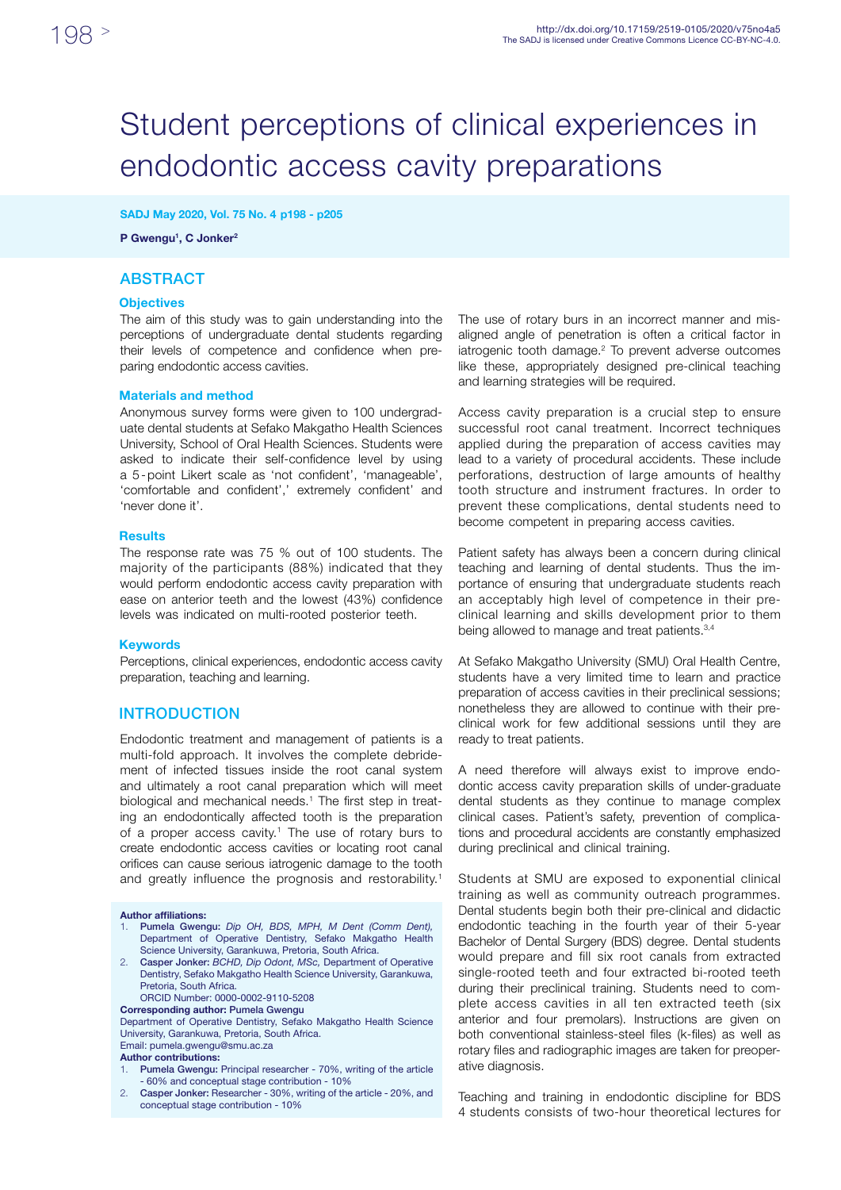# Student perceptions of clinical experiences in endodontic access cavity preparations

### SADJ May 2020, Vol. 75 No. 4 p198 - p205

P Gwengu<sup>1</sup>, C Jonker<sup>2</sup>

## **ABSTRACT**

### **Objectives**

The aim of this study was to gain understanding into the perceptions of undergraduate dental students regarding their levels of competence and confidence when preparing endodontic access cavities.

### Materials and method

Anonymous survey forms were given to 100 undergraduate dental students at Sefako Makgatho Health Sciences University, School of Oral Health Sciences. Students were asked to indicate their self-confidence level by using a 5-point Likert scale as 'not confident', 'manageable', 'comfortable and confident',' extremely confident' and 'never done it'.

### Results

The response rate was 75 % out of 100 students. The majority of the participants (88%) indicated that they would perform endodontic access cavity preparation with ease on anterior teeth and the lowest (43%) confidence levels was indicated on multi-rooted posterior teeth.

#### Keywords

Perceptions, clinical experiences, endodontic access cavity preparation, teaching and learning.

## **INTRODUCTION**

Endodontic treatment and management of patients is a multi-fold approach. It involves the complete debridement of infected tissues inside the root canal system and ultimately a root canal preparation which will meet biological and mechanical needs.<sup>1</sup> The first step in treating an endodontically affected tooth is the preparation of a proper access cavity.<sup>1</sup> The use of rotary burs to create endodontic access cavities or locating root canal orifices can cause serious iatrogenic damage to the tooth and greatly influence the prognosis and restorability.<sup>1</sup>

Author affiliations:

- 1. Pumela Gwengu: *Dip OH, BDS, MPH, M Dent (Comm Dent),*  Department of Operative Dentistry, Sefako Makgatho Health Science University, Garankuwa, Pretoria, South Africa.
- 2. Casper Jonker: *BCHD, Dip Odont, MSc,* Department of Operative Dentistry, Sefako Makgatho Health Science University, Garankuwa, Pretoria, South Africa.

ORCID Number: 0000-0002-9110-5208

Corresponding author: Pumela Gwengu

Department of Operative Dentistry, Sefako Makgatho Health Science University, Garankuwa, Pretoria, South Africa.

Email: pumela.gwengu@smu.ac.za

#### Author contributions:

- Pumela Gwengu: Principal researcher 70%, writing of the article - 60% and conceptual stage contribution - 10%
- 2. Casper Jonker: Researcher 30%, writing of the article 20%, and conceptual stage contribution - 10%

The use of rotary burs in an incorrect manner and misaligned angle of penetration is often a critical factor in iatrogenic tooth damage.<sup>2</sup> To prevent adverse outcomes like these, appropriately designed pre-clinical teaching and learning strategies will be required.

Access cavity preparation is a crucial step to ensure successful root canal treatment. Incorrect techniques applied during the preparation of access cavities may lead to a variety of procedural accidents. These include perforations, destruction of large amounts of healthy tooth structure and instrument fractures. In order to prevent these complications, dental students need to become competent in preparing access cavities.

Patient safety has always been a concern during clinical teaching and learning of dental students. Thus the importance of ensuring that undergraduate students reach an acceptably high level of competence in their preclinical learning and skills development prior to them being allowed to manage and treat patients.<sup>3,4</sup>

At Sefako Makgatho University (SMU) Oral Health Centre, students have a very limited time to learn and practice preparation of access cavities in their preclinical sessions; nonetheless they are allowed to continue with their preclinical work for few additional sessions until they are ready to treat patients.

A need therefore will always exist to improve endodontic access cavity preparation skills of under-graduate dental students as they continue to manage complex clinical cases. Patient's safety, prevention of complications and procedural accidents are constantly emphasized during preclinical and clinical training.

Students at SMU are exposed to exponential clinical training as well as community outreach programmes. Dental students begin both their pre-clinical and didactic endodontic teaching in the fourth year of their 5-year Bachelor of Dental Surgery (BDS) degree. Dental students would prepare and fill six root canals from extracted single-rooted teeth and four extracted bi-rooted teeth during their preclinical training. Students need to complete access cavities in all ten extracted teeth (six anterior and four premolars). Instructions are given on both conventional stainless-steel files (k-files) as well as rotary files and radiographic images are taken for preoperative diagnosis.

Teaching and training in endodontic discipline for BDS 4 students consists of two-hour theoretical lectures for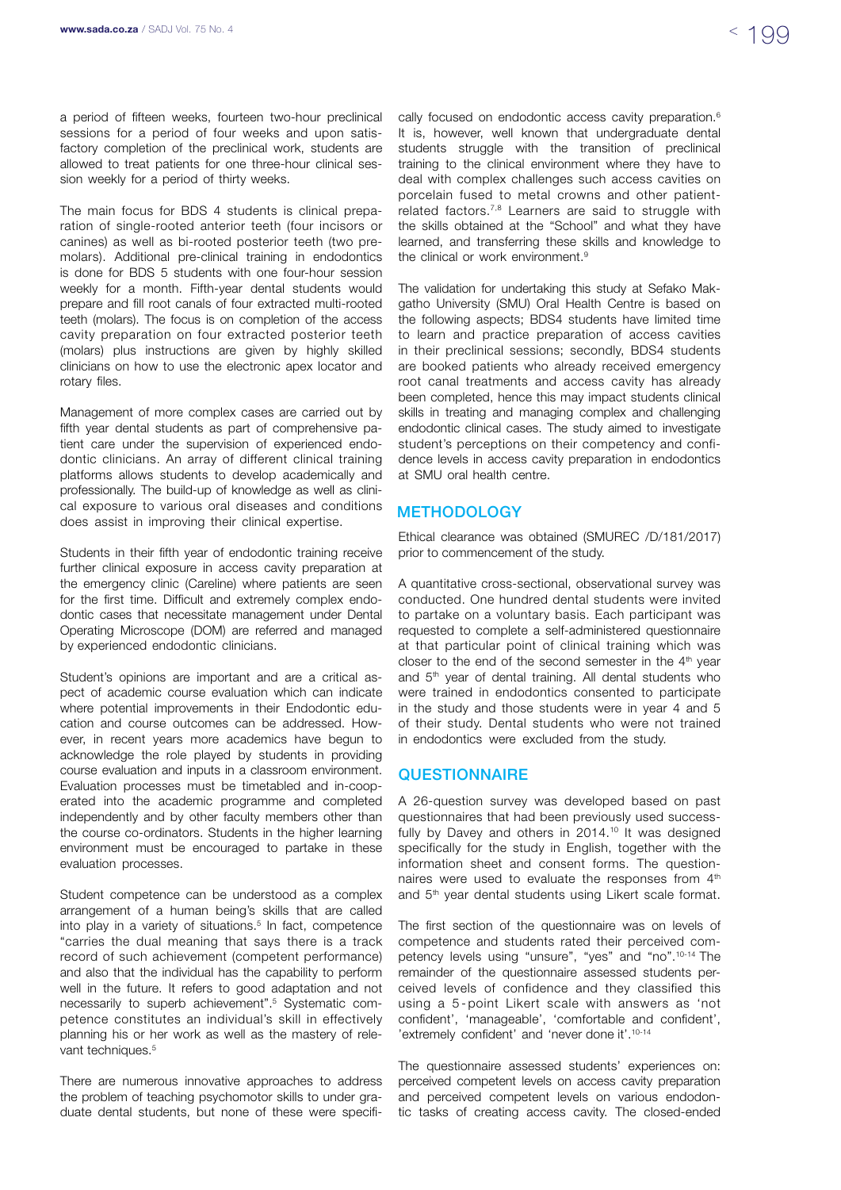a period of fifteen weeks, fourteen two-hour preclinical sessions for a period of four weeks and upon satisfactory completion of the preclinical work, students are allowed to treat patients for one three-hour clinical session weekly for a period of thirty weeks.

The main focus for BDS 4 students is clinical preparation of single-rooted anterior teeth (four incisors or canines) as well as bi-rooted posterior teeth (two premolars). Additional pre-clinical training in endodontics is done for BDS 5 students with one four-hour session weekly for a month. Fifth-year dental students would prepare and fill root canals of four extracted multi-rooted teeth (molars). The focus is on completion of the access cavity preparation on four extracted posterior teeth (molars) plus instructions are given by highly skilled clinicians on how to use the electronic apex locator and rotary files.

Management of more complex cases are carried out by fifth year dental students as part of comprehensive patient care under the supervision of experienced endodontic clinicians. An array of different clinical training platforms allows students to develop academically and professionally. The build-up of knowledge as well as clinical exposure to various oral diseases and conditions does assist in improving their clinical expertise.

Students in their fifth year of endodontic training receive further clinical exposure in access cavity preparation at the emergency clinic (Careline) where patients are seen for the first time. Difficult and extremely complex endodontic cases that necessitate management under Dental Operating Microscope (DOM) are referred and managed by experienced endodontic clinicians.

Student's opinions are important and are a critical aspect of academic course evaluation which can indicate where potential improvements in their Endodontic education and course outcomes can be addressed. However, in recent years more academics have begun to acknowledge the role played by students in providing course evaluation and inputs in a classroom environment. Evaluation processes must be timetabled and in-cooperated into the academic programme and completed independently and by other faculty members other than the course co-ordinators. Students in the higher learning environment must be encouraged to partake in these evaluation processes.

Student competence can be understood as a complex arrangement of a human being's skills that are called into play in a variety of situations.<sup>5</sup> In fact, competence "carries the dual meaning that says there is a track record of such achievement (competent performance) and also that the individual has the capability to perform well in the future. It refers to good adaptation and not necessarily to superb achievement".5 Systematic competence constitutes an individual's skill in effectively planning his or her work as well as the mastery of relevant techniques.<sup>5</sup>

There are numerous innovative approaches to address the problem of teaching psychomotor skills to under graduate dental students, but none of these were specifically focused on endodontic access cavity preparation.<sup>6</sup> It is, however, well known that undergraduate dental students struggle with the transition of preclinical training to the clinical environment where they have to deal with complex challenges such access cavities on porcelain fused to metal crowns and other patientrelated factors.<sup>7,8</sup> Learners are said to struggle with the skills obtained at the "School" and what they have learned, and transferring these skills and knowledge to the clinical or work environment.<sup>9</sup>

The validation for undertaking this study at Sefako Makgatho University (SMU) Oral Health Centre is based on the following aspects; BDS4 students have limited time to learn and practice preparation of access cavities in their preclinical sessions; secondly, BDS4 students are booked patients who already received emergency root canal treatments and access cavity has already been completed, hence this may impact students clinical skills in treating and managing complex and challenging endodontic clinical cases. The study aimed to investigate student's perceptions on their competency and confidence levels in access cavity preparation in endodontics at SMU oral health centre.

## **METHODOLOGY**

Ethical clearance was obtained (SMUREC /D/181/2017) prior to commencement of the study.

A quantitative cross-sectional, observational survey was conducted. One hundred dental students were invited to partake on a voluntary basis. Each participant was requested to complete a self-administered questionnaire at that particular point of clinical training which was closer to the end of the second semester in the  $4<sup>th</sup>$  year and 5<sup>th</sup> year of dental training. All dental students who were trained in endodontics consented to participate in the study and those students were in year 4 and 5 of their study. Dental students who were not trained in endodontics were excluded from the study.

## **QUESTIONNAIRE**

A 26-question survey was developed based on past questionnaires that had been previously used successfully by Davey and others in 2014.<sup>10</sup> It was designed specifically for the study in English, together with the information sheet and consent forms. The questionnaires were used to evaluate the responses from  $4<sup>th</sup>$ and 5<sup>th</sup> year dental students using Likert scale format.

The first section of the questionnaire was on levels of competence and students rated their perceived competency levels using "unsure", "yes" and "no".10-14 The remainder of the questionnaire assessed students perceived levels of confidence and they classified this using a 5 - point Likert scale with answers as 'not confident', 'manageable', 'comfortable and confident', 'extremely confident' and 'never done it'.10-14

The questionnaire assessed students' experiences on: perceived competent levels on access cavity preparation and perceived competent levels on various endodontic tasks of creating access cavity. The closed-ended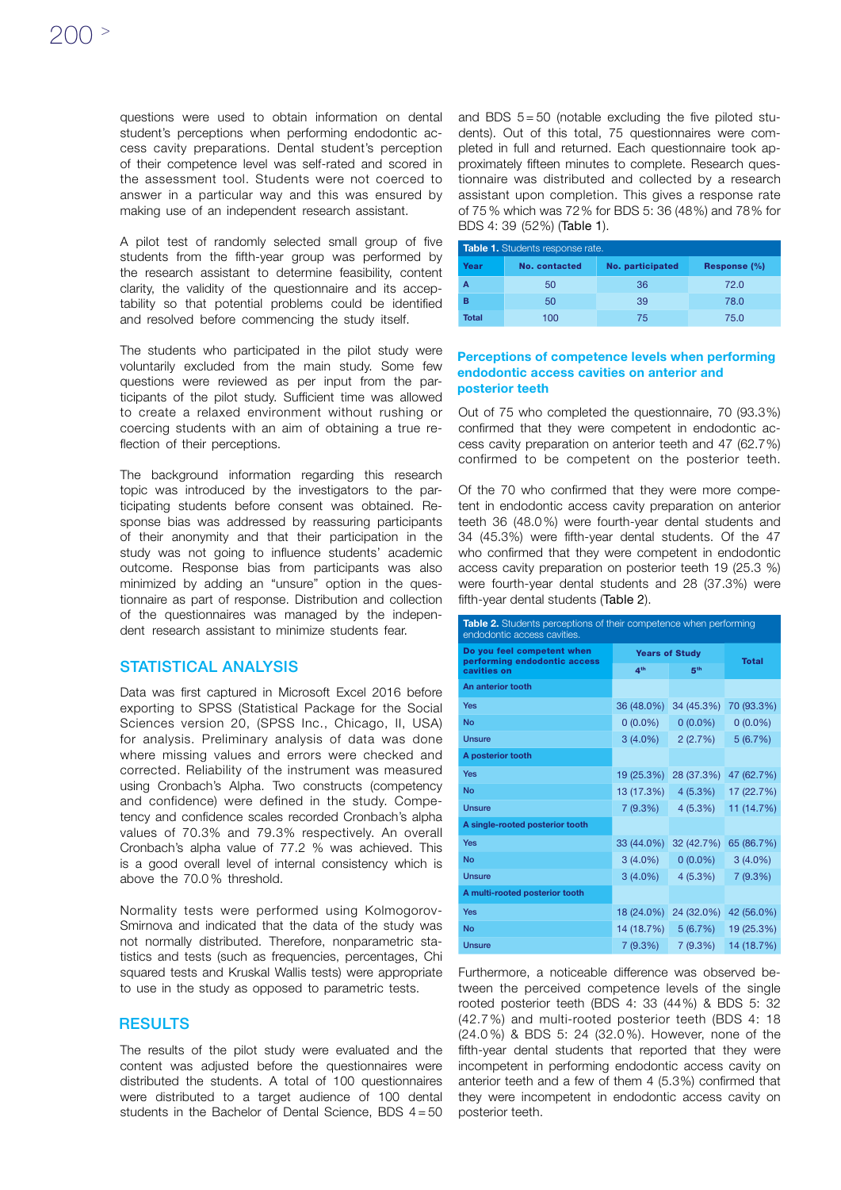questions were used to obtain information on dental student's perceptions when performing endodontic access cavity preparations. Dental student's perception of their competence level was self-rated and scored in the assessment tool. Students were not coerced to answer in a particular way and this was ensured by making use of an independent research assistant.

A pilot test of randomly selected small group of five students from the fifth-year group was performed by the research assistant to determine feasibility, content clarity, the validity of the questionnaire and its acceptability so that potential problems could be identified and resolved before commencing the study itself.

The students who participated in the pilot study were voluntarily excluded from the main study. Some few questions were reviewed as per input from the participants of the pilot study. Sufficient time was allowed to create a relaxed environment without rushing or coercing students with an aim of obtaining a true reflection of their perceptions.

The background information regarding this research topic was introduced by the investigators to the participating students before consent was obtained. Response bias was addressed by reassuring participants of their anonymity and that their participation in the study was not going to influence students' academic outcome. Response bias from participants was also minimized by adding an "unsure" option in the questionnaire as part of response. Distribution and collection of the questionnaires was managed by the independent research assistant to minimize students fear.

## STATISTICAL ANALYSIS

Data was first captured in Microsoft Excel 2016 before exporting to SPSS (Statistical Package for the Social Sciences version 20, (SPSS Inc., Chicago, II, USA) for analysis. Preliminary analysis of data was done where missing values and errors were checked and corrected. Reliability of the instrument was measured using Cronbach's Alpha. Two constructs (competency and confidence) were defined in the study. Competency and confidence scales recorded Cronbach's alpha values of 70.3% and 79.3% respectively. An overall Cronbach's alpha value of 77.2 % was achieved. This is a good overall level of internal consistency which is above the 70.0 % threshold.

Normality tests were performed using Kolmogorov-Smirnova and indicated that the data of the study was not normally distributed. Therefore, nonparametric statistics and tests (such as frequencies, percentages, Chi squared tests and Kruskal Wallis tests) were appropriate to use in the study as opposed to parametric tests.

## **RESULTS**

The results of the pilot study were evaluated and the content was adjusted before the questionnaires were distributed the students. A total of 100 questionnaires were distributed to a target audience of 100 dental students in the Bachelor of Dental Science, BDS  $4 = 50$ 

and BDS  $5 = 50$  (notable excluding the five piloted students). Out of this total, 75 questionnaires were completed in full and returned. Each questionnaire took approximately fifteen minutes to complete. Research questionnaire was distributed and collected by a research assistant upon completion. This gives a response rate of 75 % which was 72% for BDS 5: 36 (48%) and 78% for BDS 4: 39 (52%) (Table 1).

| Table 1. Students response rate. |               |                  |              |  |
|----------------------------------|---------------|------------------|--------------|--|
| Year                             | No. contacted | No. participated | Response (%) |  |
| A                                | 50            | 36               | 72.0         |  |
| в                                | 50            | 39               | 78.0         |  |
| <b>Total</b>                     | 100           | 75               | 75.0         |  |

## Perceptions of competence levels when performing endodontic access cavities on anterior and posterior teeth

Out of 75 who completed the questionnaire, 70 (93.3%) confirmed that they were competent in endodontic access cavity preparation on anterior teeth and 47 (62.7%) confirmed to be competent on the posterior teeth.

Of the 70 who confirmed that they were more competent in endodontic access cavity preparation on anterior teeth 36 (48.0%) were fourth-year dental students and 34 (45.3%) were fifth-year dental students. Of the 47 who confirmed that they were competent in endodontic access cavity preparation on posterior teeth 19 (25.3 %) were fourth-year dental students and 28 (37.3%) were fifth-year dental students (Table 2).

| Table 2. Students perceptions of their competence when performing<br>endodontic access cavities. |                       |                 |              |
|--------------------------------------------------------------------------------------------------|-----------------------|-----------------|--------------|
| Do you feel competent when<br>performing endodontic access                                       | <b>Years of Study</b> |                 | <b>Total</b> |
| cavities on                                                                                      | 4 <sup>th</sup>       | 5 <sup>th</sup> |              |
| An anterior tooth                                                                                |                       |                 |              |
| <b>Yes</b>                                                                                       | 36 (48.0%)            | 34 (45.3%)      | 70 (93.3%)   |
| <b>No</b>                                                                                        | $0(0.0\%)$            | $0(0.0\%)$      | $0(0.0\%)$   |
| <b>Unsure</b>                                                                                    | $3(4.0\%)$            | 2(2.7%)         | 5(6.7%)      |
| A posterior tooth                                                                                |                       |                 |              |
| <b>Yes</b>                                                                                       | 19 (25.3%)            | 28 (37.3%)      | 47 (62.7%)   |
| <b>No</b>                                                                                        | 13 (17.3%)            | 4(5.3%)         | 17 (22.7%)   |
| <b>Unsure</b>                                                                                    | 7 (9.3%)              | 4(5.3%)         | 11 (14.7%)   |
| A single-rooted posterior tooth                                                                  |                       |                 |              |
| <b>Yes</b>                                                                                       | 33 (44.0%)            | 32 (42.7%)      | 65 (86.7%)   |
| <b>No</b>                                                                                        | $3(4.0\%)$            | $0(0.0\%)$      | $3(4.0\%)$   |
| Unsure                                                                                           | $3(4.0\%)$            | 4(5.3%)         | 7(9.3%)      |
| A multi-rooted posterior tooth                                                                   |                       |                 |              |
| Yes                                                                                              | 18 (24.0%)            | 24 (32.0%)      | 42 (56.0%)   |
| <b>No</b>                                                                                        | 14 (18.7%)            | 5(6.7%)         | 19 (25.3%)   |
| <b>Unsure</b>                                                                                    | 7(9.3%)               | 7(9.3%)         | 14 (18.7%)   |

Furthermore, a noticeable difference was observed between the perceived competence levels of the single rooted posterior teeth (BDS 4: 33 (44%) & BDS 5: 32 (42.7 %) and multi-rooted posterior teeth (BDS 4: 18 (24.0 %) & BDS 5: 24 (32.0 %). However, none of the fifth-year dental students that reported that they were incompetent in performing endodontic access cavity on anterior teeth and a few of them 4 (5.3%) confirmed that they were incompetent in endodontic access cavity on posterior teeth.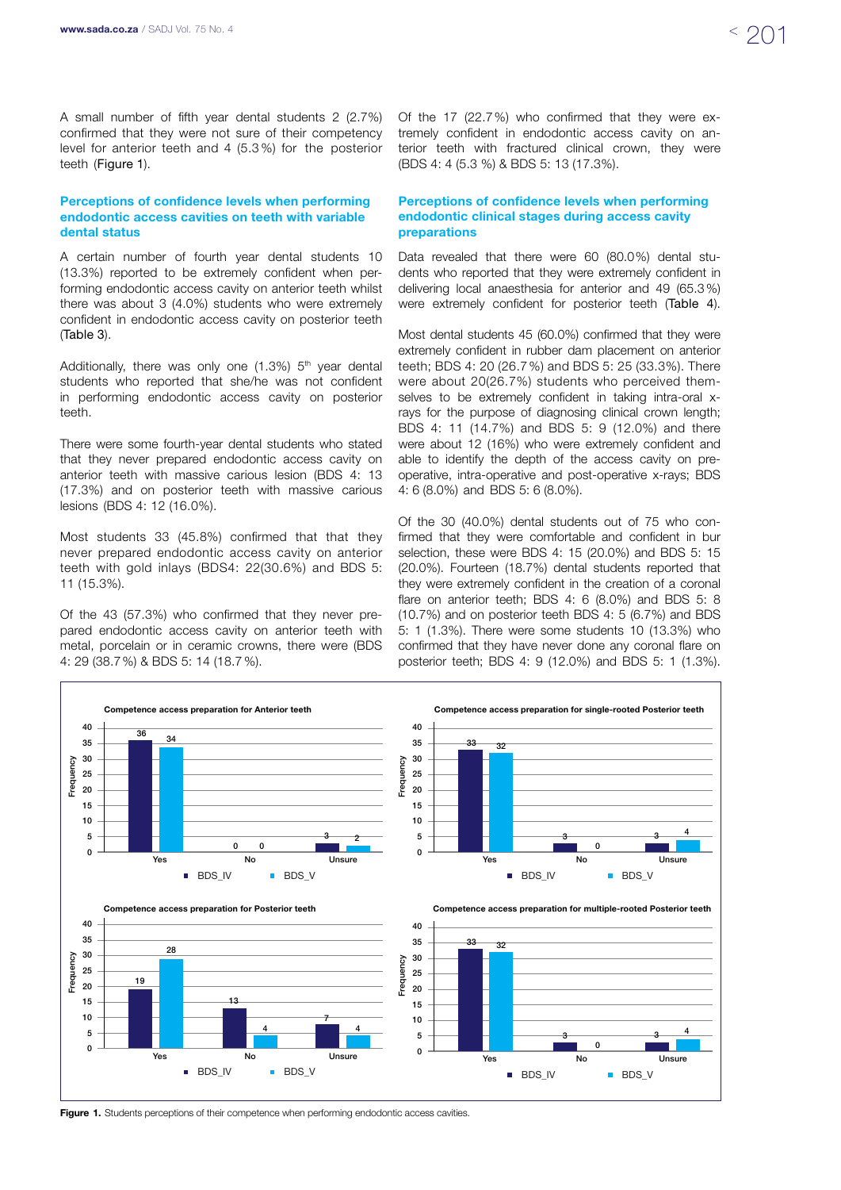A small number of fifth year dental students 2 (2.7%) confirmed that they were not sure of their competency level for anterior teeth and 4 (5.3 %) for the posterior teeth (Figure 1).

## Perceptions of confidence levels when performing endodontic access cavities on teeth with variable dental status

A certain number of fourth year dental students 10 (13.3%) reported to be extremely confident when performing endodontic access cavity on anterior teeth whilst there was about 3 (4.0%) students who were extremely confident in endodontic access cavity on posterior teeth (Table 3).

Additionally, there was only one  $(1.3\%)$   $5<sup>th</sup>$  year dental students who reported that she/he was not confident in performing endodontic access cavity on posterior teeth.

There were some fourth-year dental students who stated that they never prepared endodontic access cavity on anterior teeth with massive carious lesion (BDS 4: 13 (17.3%) and on posterior teeth with massive carious lesions (BDS 4: 12 (16.0%).

Most students 33 (45.8%) confirmed that that they never prepared endodontic access cavity on anterior teeth with gold inlays (BDS4: 22(30.6%) and BDS 5: 11 (15.3%).

Of the 43 (57.3%) who confirmed that they never prepared endodontic access cavity on anterior teeth with metal, porcelain or in ceramic crowns, there were (BDS 4: 29 (38.7%) & BDS 5: 14 (18.7 %).

Of the 17 (22.7%) who confirmed that they were extremely confident in endodontic access cavity on anterior teeth with fractured clinical crown, they were (BDS 4: 4 (5.3 %) & BDS 5: 13 (17.3%).

## Perceptions of confidence levels when performing endodontic clinical stages during access cavity preparations

Data revealed that there were 60 (80.0%) dental students who reported that they were extremely confident in delivering local anaesthesia for anterior and 49 (65.3 %) were extremely confident for posterior teeth (Table 4).

Most dental students 45 (60.0%) confirmed that they were extremely confident in rubber dam placement on anterior teeth; BDS 4: 20 (26.7%) and BDS 5: 25 (33.3%). There were about 20(26.7%) students who perceived themselves to be extremely confident in taking intra-oral xrays for the purpose of diagnosing clinical crown length; BDS 4: 11 (14.7%) and BDS 5: 9 (12.0%) and there were about 12 (16%) who were extremely confident and able to identify the depth of the access cavity on preoperative, intra-operative and post-operative x-rays; BDS 4: 6 (8.0%) and BDS 5: 6 (8.0%).

Of the 30 (40.0%) dental students out of 75 who confirmed that they were comfortable and confident in bur selection, these were BDS 4: 15 (20.0%) and BDS 5: 15 (20.0%). Fourteen (18.7%) dental students reported that they were extremely confident in the creation of a coronal flare on anterior teeth; BDS 4: 6 (8.0%) and BDS 5: 8 (10.7%) and on posterior teeth BDS 4: 5 (6.7%) and BDS 5: 1 (1.3%). There were some students 10 (13.3%) who confirmed that they have never done any coronal flare on posterior teeth; BDS 4: 9 (12.0%) and BDS 5: 1 (1.3%).



Figure 1. Students perceptions of their competence when performing endodontic access cavities.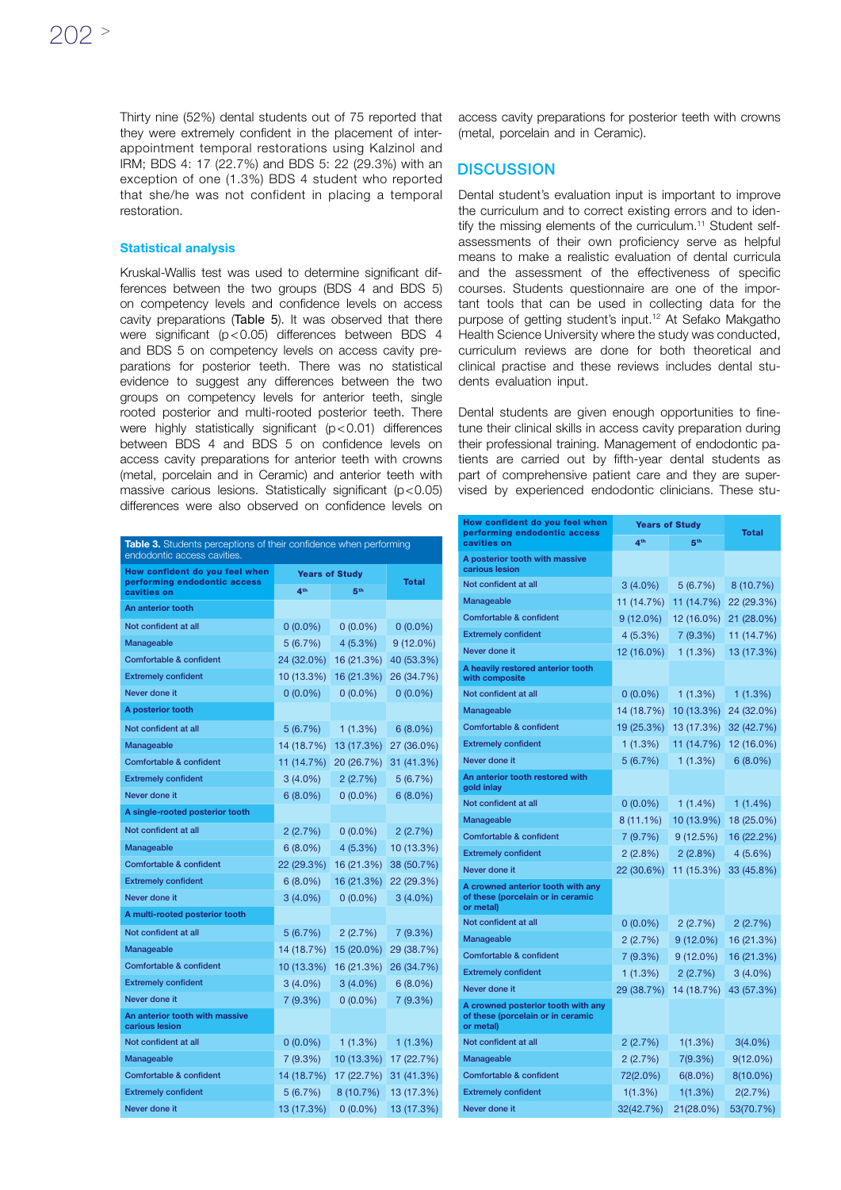Thirty nine (52%) dental students out of 75 reported that they were extremely confident in the placement of interappointment temporal restorations using Kalzinol and IRM; BDS 4: 17 (22.7%) and BDS 5: 22 (29.3%) with an exception of one (1.3%) BDS 4 student who reported that she/he was not confident in placing a temporal restoration.

#### Statistical analysis

Kruskal-Wallis test was used to determine significant differences between the two groups (BDS 4 and BDS 5) on competency levels and confidence levels on access cavity preparations (Table 5). It was observed that there were significant (p < 0.05) differences between BDS 4 and BDS 5 on competency levels on access cavity preparations for posterior teeth. There was no statistical evidence to suggest any differences between the two groups on competency levels for anterior teeth, single rooted posterior and multi-rooted posterior teeth. There were highly statistically significant (p < 0.01) differences between BDS 4 and BDS 5 on confidence levels on access cavity preparations for anterior teeth with crowns (metal, porcelain and in Ceramic) and anterior teeth with massive carious lesions. Statistically significant (p<0.05) differences were also observed on confidence levels on

| Table 3. Students perceptions of their confidence when performing<br>endodontic access cavities. |                       |                 |              |
|--------------------------------------------------------------------------------------------------|-----------------------|-----------------|--------------|
| How confident do you feel when                                                                   | <b>Years of Studv</b> |                 |              |
| performing endodontic access<br>cavities on                                                      | 4 <sup>th</sup>       | 5 <sup>th</sup> | <b>Total</b> |
| An anterior tooth                                                                                |                       |                 |              |
| Not confident at all                                                                             | $0(0.0\%)$            | $0(0.0\%)$      | $0(0.0\%)$   |
| Manageable                                                                                       | 5(6.7%)               | $4(5.3\%)$      | $9(12.0\%)$  |
| Comfortable & confident                                                                          | 24 (32.0%)            | 16 (21.3%)      | 40 (53.3%)   |
| <b>Extremely confident</b>                                                                       | 10 (13.3%)            | 16 (21.3%)      | 26 (34.7%)   |
| Never done it                                                                                    | $0(0.0\%)$            | $0(0.0\%)$      | $0(0.0\%)$   |
| A posterior tooth                                                                                |                       |                 |              |
| Not confident at all                                                                             | 5(6.7%)               | 1(1.3%)         | $6(8.0\%)$   |
| Manageable                                                                                       | 14 (18.7%)            | 13 (17.3%)      | 27 (36.0%)   |
| Comfortable & confident                                                                          | 11 (14.7%)            | 20 (26.7%)      | 31 (41.3%)   |
| <b>Extremely confident</b>                                                                       | $3(4.0\%)$            | 2(2.7%)         | 5(6.7%)      |
| Never done it                                                                                    | $6(8.0\%)$            | $0(0.0\%)$      | $6(8.0\%)$   |
| A single-rooted posterior tooth                                                                  |                       |                 |              |
| Not confident at all                                                                             | 2(2.7%)               | $0(0.0\%)$      | 2(2.7%)      |
| Manageable                                                                                       | $6(8.0\%)$            | 4 (5.3%)        | 10 (13.3%)   |
| Comfortable & confident                                                                          | 22 (29.3%)            | 16 (21.3%)      | 38 (50.7%)   |
| <b>Extremely confident</b>                                                                       | $6(8.0\%)$            | 16 (21.3%)      | 22 (29.3%)   |
| Never done it                                                                                    | $3(4.0\%)$            | $0(0.0\%)$      | $3(4.0\%)$   |
| A multi-rooted posterior tooth                                                                   |                       |                 |              |
| Not confident at all                                                                             | 5(6.7%)               | 2(2.7%)         | 7 (9.3%)     |
| Manageable                                                                                       | 14 (18.7%)            | 15 (20.0%)      | 29 (38.7%)   |
| Comfortable & confident                                                                          | 10 (13.3%)            | 16 (21.3%)      | 26 (34.7%)   |
| <b>Extremely confident</b>                                                                       | $3(4.0\%)$            | $3(4.0\%)$      | $6(8.0\%)$   |
| Never done it                                                                                    | 7(9.3%)               | $0(0.0\%)$      | 7(9.3%)      |
| An anterior tooth with massive<br>carious lesion                                                 |                       |                 |              |
| Not confident at all                                                                             | $0(0.0\%)$            | 1(1.3%)         | 1 (1.3%)     |
| Manageable                                                                                       | 7(9.3%)               | 10 (13.3%)      | 17 (22.7%)   |
| Comfortable & confident                                                                          | 14 (18.7%)            | 17 (22.7%)      | 31 (41.3%)   |
| <b>Extremely confident</b>                                                                       | 5(6.7%)               | 8 (10.7%)       | 13 (17.3%)   |
| Never done it                                                                                    | 13 (17.3%)            | $0(0.0\%)$      | 13 (17.3%)   |

access cavity preparations for posterior teeth with crowns (metal, porcelain and in Ceramic).

## **DISCUSSION**

Dental student's evaluation input is important to improve the curriculum and to correct existing errors and to identify the missing elements of the curriculum.<sup>11</sup> Student selfassessments of their own proficiency serve as helpful means to make a realistic evaluation of dental curricula and the assessment of the effectiveness of specific courses. Students questionnaire are one of the important tools that can be used in collecting data for the purpose of getting student's input.12 At Sefako Makgatho Health Science University where the study was conducted, curriculum reviews are done for both theoretical and clinical practise and these reviews includes dental students evaluation input.

Dental students are given enough opportunities to finetune their clinical skills in access cavity preparation during their professional training. Management of endodontic patients are carried out by fifth-year dental students as part of comprehensive patient care and they are supervised by experienced endodontic clinicians. These stu-

| How confident do you feel when<br>performing endodontic access                       | <b>Years of Study</b> |                 | <b>Total</b> |
|--------------------------------------------------------------------------------------|-----------------------|-----------------|--------------|
| cavities on                                                                          | $\mathbf{A}$ th       | 5 <sup>th</sup> |              |
| A posterior tooth with massive<br>carious lesion                                     |                       |                 |              |
| Not confident at all                                                                 | $3(4.0\%)$            | 5(6.7%)         | 8 (10.7%)    |
| Manageable                                                                           | 11 (14.7%)            | 11 (14.7%)      | 22 (29.3%)   |
| Comfortable & confident                                                              | $9(12.0\%)$           | 12 (16.0%)      | 21 (28.0%)   |
| <b>Extremely confident</b>                                                           | 4 (5.3%)              | 7 (9.3%)        | 11 (14.7%)   |
| Never done it                                                                        | 12 (16.0%)            | 1(1.3%)         | 13 (17.3%)   |
| A heavily restored anterior tooth<br>with composite                                  |                       |                 |              |
| Not confident at all                                                                 | $0(0.0\%)$            | $1(1.3\%)$      | 1(1.3%)      |
| Manageable                                                                           | 14 (18.7%)            | 10 (13.3%)      | 24 (32.0%)   |
| Comfortable & confident                                                              | 19 (25.3%)            | 13 (17.3%)      | 32 (42.7%)   |
| <b>Extremely confident</b>                                                           | $1(1.3\%)$            | 11 (14.7%)      | 12 (16.0%)   |
| Never done it                                                                        | 5(6.7%)               | 1(1.3%)         | $6(8.0\%)$   |
| An anterior tooth restored with<br>gold inlay                                        |                       |                 |              |
| Not confident at all                                                                 | $0(0.0\%)$            | $1(1.4\%)$      | $1(1.4\%)$   |
| Manageable                                                                           | 8 (11.1%)             | 10 (13.9%)      | 18 (25.0%)   |
| Comfortable & confident                                                              | 7(9.7%)               | 9(12.5%)        | 16 (22.2%)   |
| <b>Extremely confident</b>                                                           | 2(2.8%)               | 2 (2.8%)        | 4(5.6%)      |
| Never done it                                                                        | 22 (30.6%)            | 11 (15.3%)      | 33 (45.8%)   |
| A crowned anterior tooth with any<br>of these (porcelain or in ceramic<br>or metal)  |                       |                 |              |
| Not confident at all                                                                 | $0(0.0\%)$            | 2(2.7%)         | 2(2.7%)      |
| Manageable                                                                           | 2(2.7%)               | $9(12.0\%)$     | 16 (21.3%)   |
| Comfortable & confident                                                              | 7(9.3%)               | $9(12.0\%)$     | 16 (21.3%)   |
| <b>Extremely confident</b>                                                           | 1(1.3%)               | 2(2.7%)         | $3(4.0\%)$   |
| Never done it                                                                        | 29 (38.7%)            | 14 (18.7%)      | 43 (57.3%)   |
| A crowned posterior tooth with any<br>of these (porcelain or in ceramic<br>or metal) |                       |                 |              |
| Not confident at all                                                                 | 2(2.7%)               | 1(1.3%)         | 3(4.0%)      |
| Manageable                                                                           | 2(2.7%)               | 7(9.3%)         | $9(12.0\%)$  |
| Comfortable & confident                                                              | 72(2.0%)              | $6(8.0\%)$      | 8(10.0%)     |
| <b>Extremely confident</b>                                                           | 1(1.3%)               | 1(1.3%)         | 2(2.7%)      |
| Never done it                                                                        | 32(42.7%)             | 21(28.0%)       | 53(70.7%)    |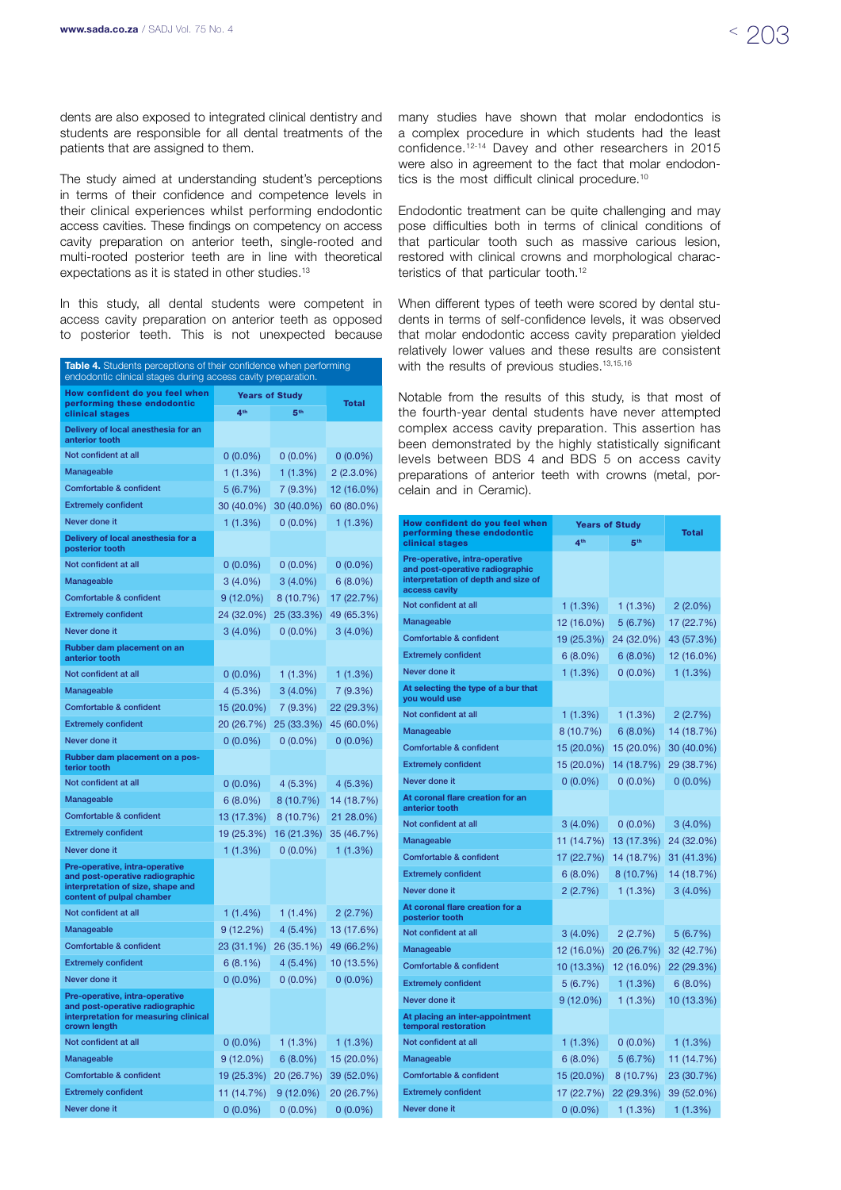dents are also exposed to integrated clinical dentistry and students are responsible for all dental treatments of the patients that are assigned to them.

The study aimed at understanding student's perceptions in terms of their confidence and competence levels in their clinical experiences whilst performing endodontic access cavities. These findings on competency on access cavity preparation on anterior teeth, single-rooted and multi-rooted posterior teeth are in line with theoretical expectations as it is stated in other studies.13

In this study, all dental students were competent in access cavity preparation on anterior teeth as opposed to posterior teeth. This is not unexpected because

| <b>Table 4.</b> Students perceptions of their confidence when performing<br>endodontic clinical stages during access cavity preparation. |                       |                 |              |  |  |
|------------------------------------------------------------------------------------------------------------------------------------------|-----------------------|-----------------|--------------|--|--|
| How confident do you feel when                                                                                                           | <b>Years of Study</b> |                 |              |  |  |
| performing these endodontic<br>clinical stages                                                                                           | 4 <sup>th</sup>       | 5 <sup>th</sup> | <b>Total</b> |  |  |
| Delivery of local anesthesia for an<br>anterior tooth                                                                                    |                       |                 |              |  |  |
| Not confident at all                                                                                                                     | $0(0.0\%)$            | $0(0.0\%)$      | $0(0.0\%)$   |  |  |
| Manageable                                                                                                                               | 1(1.3%)               | 1(1.3%)         | $2(2.3.0\%)$ |  |  |
| Comfortable & confident                                                                                                                  | 5(6.7%)               | 7(9.3%)         | 12 (16.0%)   |  |  |
| <b>Extremely confident</b>                                                                                                               | 30 (40.0%)            | 30 (40.0%)      | 60 (80.0%)   |  |  |
| Never done it                                                                                                                            | 1(1.3%)               | $0(0.0\%)$      | 1(1.3%)      |  |  |
| Delivery of local anesthesia for a<br>posterior tooth                                                                                    |                       |                 |              |  |  |
| Not confident at all                                                                                                                     | $0(0.0\%)$            | $0(0.0\%)$      | $0(0.0\%)$   |  |  |
| Manageable                                                                                                                               | $3(4.0\%)$            | $3(4.0\%)$      | $6(8.0\%)$   |  |  |
| Comfortable & confident                                                                                                                  | 9 (12.0%)             | 8(10.7%)        | 17 (22.7%)   |  |  |
| <b>Extremely confident</b>                                                                                                               | 24 (32.0%)            | 25 (33.3%)      | 49 (65.3%)   |  |  |
| Never done it                                                                                                                            | $3(4.0\%)$            | $0(0.0\%)$      | $3(4.0\%)$   |  |  |
| Rubber dam placement on an<br>anterior tooth                                                                                             |                       |                 |              |  |  |
| Not confident at all                                                                                                                     | $0(0.0\%)$            | 1(1.3%)         | 1(1.3%)      |  |  |
| Manageable                                                                                                                               | 4(5.3%)               | $3(4.0\%)$      | 7 (9.3%)     |  |  |
| Comfortable & confident                                                                                                                  | 15 (20.0%)            | 7(9.3%)         | 22 (29.3%)   |  |  |
| <b>Extremely confident</b>                                                                                                               | 20 (26.7%)            | 25 (33.3%)      | 45 (60.0%)   |  |  |
| Never done it                                                                                                                            | $0(0.0\%)$            | $0(0.0\%)$      | $0(0.0\%)$   |  |  |
| Rubber dam placement on a pos-<br>terior tooth                                                                                           |                       |                 |              |  |  |
| Not confident at all                                                                                                                     | $0(0.0\%)$            | $4(5.3\%)$      | 4(5.3%)      |  |  |
| Manageable                                                                                                                               | $6(8.0\%)$            | 8 (10.7%)       | 14 (18.7%)   |  |  |
| Comfortable & confident                                                                                                                  | 13 (17.3%)            | 8 (10.7%)       | 21 28.0%)    |  |  |
| <b>Extremely confident</b>                                                                                                               | 19 (25.3%)            | 16 (21.3%)      | 35 (46.7%)   |  |  |
| Never done it                                                                                                                            | 1(1.3%)               | $0(0.0\%)$      | 1(1.3%)      |  |  |
| Pre-operative, intra-operative<br>and post-operative radiographic<br>interpretation of size, shape and<br>content of pulpal chamber      |                       |                 |              |  |  |
| Not confident at all                                                                                                                     | $1(1.4\%)$            | $1(1.4\%)$      | 2(2.7%)      |  |  |
| Manageable                                                                                                                               | 9(12.2%)              | $4(5.4\%)$      | 13 (17.6%)   |  |  |
| Comfortable & confident                                                                                                                  | 23 (31.1%)            | 26 (35.1%)      | 49 (66.2%)   |  |  |
| <b>Extremely confident</b>                                                                                                               | 6(8.1%)               | $4(5.4\%)$      | 10 (13.5%)   |  |  |
| Never done it                                                                                                                            | $0(0.0\%)$            | $0(0.0\%)$      | $0(0.0\%)$   |  |  |
| Pre-operative, intra-operative<br>and post-operative radiographic<br>interpretation for measuring clinical<br>crown length               |                       |                 |              |  |  |
| Not confident at all                                                                                                                     | $0(0.0\%)$            | 1 (1.3%)        | 1 (1.3%)     |  |  |
| Manageable                                                                                                                               | $9(12.0\%)$           | $6(8.0\%)$      | 15 (20.0%)   |  |  |
| Comfortable & confident                                                                                                                  | 19 (25.3%)            | 20 (26.7%)      | 39 (52.0%)   |  |  |
| <b>Extremely confident</b>                                                                                                               | 11 (14.7%)            | $9(12.0\%)$     | 20 (26.7%)   |  |  |
| Never done it                                                                                                                            | $0(0.0\%)$            | $0(0.0\%)$      | $0(0.0\%)$   |  |  |

many studies have shown that molar endodontics is a complex procedure in which students had the least confidence.12-14 Davey and other researchers in 2015 were also in agreement to the fact that molar endodontics is the most difficult clinical procedure.<sup>10</sup>

Endodontic treatment can be quite challenging and may pose difficulties both in terms of clinical conditions of that particular tooth such as massive carious lesion, restored with clinical crowns and morphological characteristics of that particular tooth.<sup>12</sup>

When different types of teeth were scored by dental students in terms of self-confidence levels, it was observed that molar endodontic access cavity preparation yielded relatively lower values and these results are consistent with the results of previous studies.<sup>13,15,16</sup>

Notable from the results of this study, is that most of the fourth-year dental students have never attempted complex access cavity preparation. This assertion has been demonstrated by the highly statistically significant levels between BDS 4 and BDS 5 on access cavity preparations of anterior teeth with crowns (metal, porcelain and in Ceramic).

| How confident do you feel when<br>performing these endodontic                                                             | <b>Years of Study</b> |            | <b>Total</b> |
|---------------------------------------------------------------------------------------------------------------------------|-----------------------|------------|--------------|
| clinical stages                                                                                                           | 4 <sup>th</sup>       | <b>另th</b> |              |
| Pre-operative, intra-operative<br>and post-operative radiographic<br>interpretation of depth and size of<br>access cavity |                       |            |              |
| Not confident at all                                                                                                      | 1(1.3%)               | 1(1.3%)    | $2(2.0\%)$   |
| Manageable                                                                                                                | 12 (16.0%)            | 5(6.7%)    | 17 (22.7%)   |
| Comfortable & confident                                                                                                   | 19 (25.3%)            | 24 (32.0%) | 43 (57.3%)   |
| <b>Extremely confident</b>                                                                                                | $6(8.0\%)$            | $6(8.0\%)$ | 12 (16.0%)   |
| Never done it                                                                                                             | 1(1.3%)               | $0(0.0\%)$ | 1 (1.3%)     |
| At selecting the type of a bur that<br>you would use                                                                      |                       |            |              |
| Not confident at all                                                                                                      | 1 (1.3%)              | 1(1.3%)    | 2(2.7%)      |
| Manageable                                                                                                                | 8 (10.7%)             | $6(8.0\%)$ | 14 (18.7%)   |
| Comfortable & confident                                                                                                   | 15 (20.0%)            | 15 (20.0%) | 30 (40.0%)   |
| <b>Extremely confident</b>                                                                                                | 15 (20.0%)            | 14 (18.7%) | 29 (38.7%)   |
| Never done it                                                                                                             | $0(0.0\%)$            | $0(0.0\%)$ | $0(0.0\%)$   |
| At coronal flare creation for an<br>anterior tooth                                                                        |                       |            |              |
| Not confident at all                                                                                                      | $3(4.0\%)$            | $0(0.0\%)$ | $3(4.0\%)$   |
| Manageable                                                                                                                | 11 (14.7%)            | 13 (17.3%) | 24 (32.0%)   |
| Comfortable & confident                                                                                                   | 17 (22.7%)            | 14 (18.7%) | 31 (41.3%)   |
| <b>Extremely confident</b>                                                                                                | $6(8.0\%)$            | 8 (10.7%)  | 14 (18.7%)   |
| Never done it                                                                                                             | 2(2.7%)               | 1(1.3%)    | $3(4.0\%)$   |
| At coronal flare creation for a<br>posterior tooth                                                                        |                       |            |              |
| Not confident at all                                                                                                      | $3(4.0\%)$            | 2(2.7%)    | 5(6.7%)      |
| Manageable                                                                                                                | 12 (16.0%)            | 20 (26.7%) | 32 (42.7%)   |
| Comfortable & confident                                                                                                   | 10 (13.3%)            | 12 (16.0%) | 22 (29.3%)   |
| <b>Extremely confident</b>                                                                                                | 5(6.7%)               | 1(1.3%)    | $6(8.0\%)$   |
| Never done it                                                                                                             | 9 (12.0%)             | 1(1.3%)    | 10 (13.3%)   |
| At placing an inter-appointment<br>temporal restoration                                                                   |                       |            |              |
| Not confident at all                                                                                                      | 1 (1.3%)              | $0(0.0\%)$ | 1 (1.3%)     |
| Manageable                                                                                                                | $6(8.0\%)$            | 5(6.7%)    | 11 (14.7%)   |
| Comfortable & confident                                                                                                   | 15 (20.0%)            | 8 (10.7%)  | 23 (30.7%)   |
| <b>Extremely confident</b>                                                                                                | 17 (22.7%)            | 22 (29.3%) | 39 (52.0%)   |
| Never done it                                                                                                             | $0(0.0\%)$            | 1(1.3%)    | 1(1.3%)      |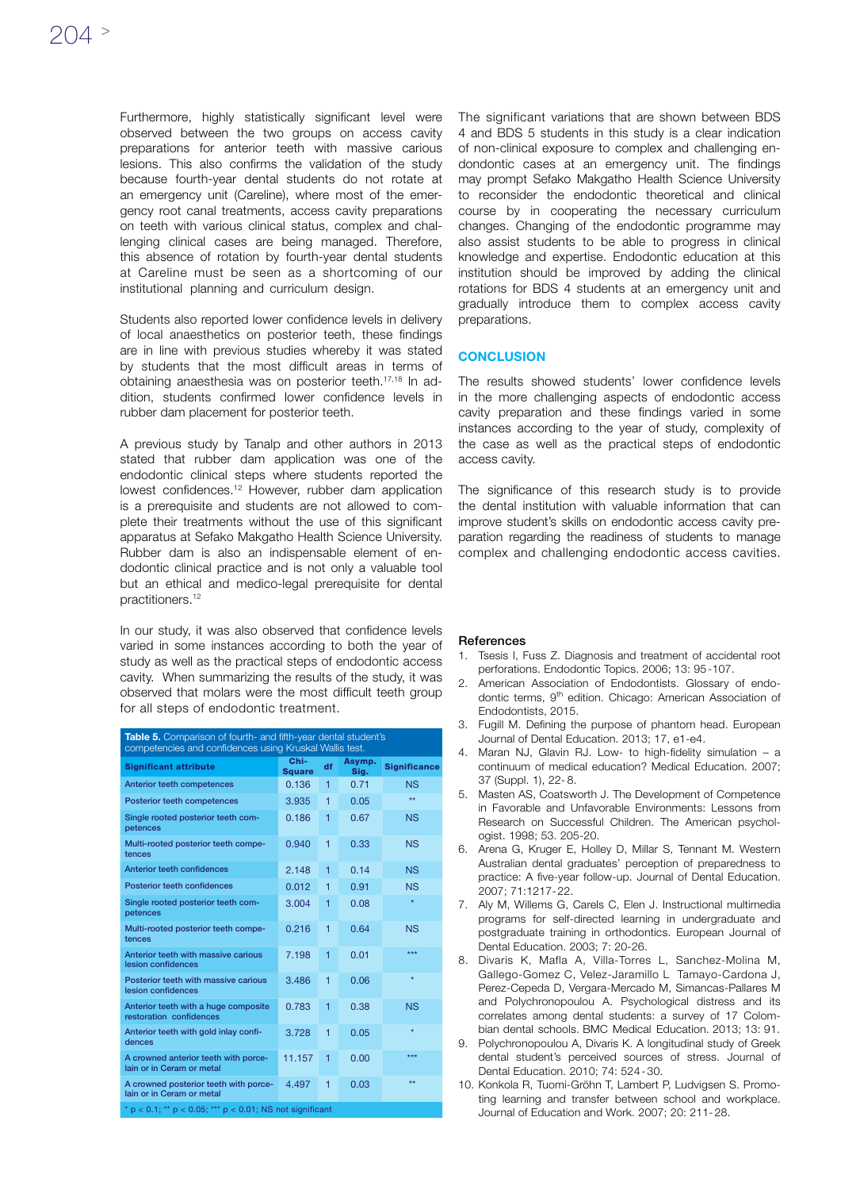Furthermore, highly statistically significant level were observed between the two groups on access cavity preparations for anterior teeth with massive carious lesions. This also confirms the validation of the study because fourth-year dental students do not rotate at an emergency unit (Careline), where most of the emergency root canal treatments, access cavity preparations on teeth with various clinical status, complex and challenging clinical cases are being managed. Therefore, this absence of rotation by fourth-year dental students at Careline must be seen as a shortcoming of our institutional planning and curriculum design.

Students also reported lower confidence levels in delivery of local anaesthetics on posterior teeth, these findings are in line with previous studies whereby it was stated by students that the most difficult areas in terms of obtaining anaesthesia was on posterior teeth.17,18 In addition, students confirmed lower confidence levels in rubber dam placement for posterior teeth.

A previous study by Tanalp and other authors in 2013 stated that rubber dam application was one of the endodontic clinical steps where students reported the lowest confidences.<sup>12</sup> However, rubber dam application is a prerequisite and students are not allowed to complete their treatments without the use of this significant apparatus at Sefako Makgatho Health Science University. Rubber dam is also an indispensable element of endodontic clinical practice and is not only a valuable tool but an ethical and medico-legal prerequisite for dental practitioners.12

In our study, it was also observed that confidence levels varied in some instances according to both the year of study as well as the practical steps of endodontic access cavity. When summarizing the results of the study, it was observed that molars were the most difficult teeth group for all steps of endodontic treatment.

| Table 5. Comparison of fourth- and fifth-year dental student's<br>competencies and confidences using Kruskal Wallis test. |                       |    |                |                     |
|---------------------------------------------------------------------------------------------------------------------------|-----------------------|----|----------------|---------------------|
| <b>Significant attribute</b>                                                                                              | Chi-<br><b>Square</b> | df | Asymp.<br>Sig. | <b>Significance</b> |
| Anterior teeth competences                                                                                                | 0.136                 | 1  | 0.71           | <b>NS</b>           |
| Posterior teeth competences                                                                                               | 3.935                 | 1  | 0.05           | $\star\star$        |
| Single rooted posterior teeth com-<br>petences                                                                            | 0.186                 | 1  | 0.67           | <b>NS</b>           |
| Multi-rooted posterior teeth compe-<br>tences                                                                             | 0.940                 | 1  | 0.33           | <b>NS</b>           |
| Anterior teeth confidences                                                                                                | 2.148                 | 1  | 0.14           | <b>NS</b>           |
| Posterior teeth confidences                                                                                               | 0.012                 | 1  | 0.91           | <b>NS</b>           |
| Single rooted posterior teeth com-<br>petences                                                                            | 3.004                 | 1  | 0.08           | $\star$             |
| Multi-rooted posterior teeth compe-<br>tences                                                                             | 0.216                 | 1  | 0.64           | <b>NS</b>           |
| Anterior teeth with massive carious<br>lesion confidences                                                                 | 7.198                 | 1  | 0.01           | ***                 |
| Posterior teeth with massive carious<br>lesion confidences                                                                | 3.486                 | 1  | 0.06           | $\star$             |
| Anterior teeth with a huge composite<br>restoration confidences                                                           | 0.783                 | 1  | 0.38           | <b>NS</b>           |
| Anterior teeth with gold inlay confi-<br>dences                                                                           | 3.728                 | 1  | 0.05           | $\star$             |
| A crowned anterior teeth with porce-<br>lain or in Ceram or metal                                                         | 11.157                | 1  | 0.00           | ***                 |
| A crowned posterior teeth with porce-<br>lain or in Ceram or metal                                                        | 4.497                 | 1  | 0.03           | **                  |
| $p'$ p < 0.1; ** p < 0.05; *** p < 0.01; NS not significant                                                               |                       |    |                |                     |

The significant variations that are shown between BDS 4 and BDS 5 students in this study is a clear indication of non-clinical exposure to complex and challenging endondontic cases at an emergency unit. The findings may prompt Sefako Makgatho Health Science University to reconsider the endodontic theoretical and clinical course by in cooperating the necessary curriculum changes. Changing of the endodontic programme may also assist students to be able to progress in clinical knowledge and expertise. Endodontic education at this institution should be improved by adding the clinical rotations for BDS 4 students at an emergency unit and gradually introduce them to complex access cavity preparations.

### **CONCLUSION**

The results showed students' lower confidence levels in the more challenging aspects of endodontic access cavity preparation and these findings varied in some instances according to the year of study, complexity of the case as well as the practical steps of endodontic access cavity.

The significance of this research study is to provide the dental institution with valuable information that can improve student's skills on endodontic access cavity preparation regarding the readiness of students to manage complex and challenging endodontic access cavities.

#### **References**

- 1. Tsesis I, Fuss Z. Diagnosis and treatment of accidental root perforations. Endodontic Topics. 2006; 13: 95-107.
- 2. American Association of Endodontists. Glossary of endodontic terms, 9<sup>th</sup> edition. Chicago: American Association of Endodontists, 2015.
- 3. Fugill M. Defining the purpose of phantom head. European Journal of Dental Education. 2013; 17, e1-e4.
- 4. Maran NJ, Glavin RJ. Low- to high-fidelity simulation a continuum of medical education? Medical Education. 2007; 37 (Suppl. 1), 22- 8.
- 5. Masten AS, Coatsworth J. The Development of Competence in Favorable and Unfavorable Environments: Lessons from Research on Successful Children. The American psychologist. 1998; 53. 205-20.
- 6. Arena G, Kruger E, Holley D, Millar S, Tennant M. Western Australian dental graduates' perception of preparedness to practice: A five-year follow-up. Journal of Dental Education. 2007; 71:1217-22.
- 7. Aly M, Willems G, Carels C, Elen J. Instructional multimedia programs for self-directed learning in undergraduate and postgraduate training in orthodontics. European Journal of Dental Education. 2003; 7: 20-26.
- 8. Divaris K, Mafla A, Villa-Torres L, Sanchez-Molina M, Gallego-Gomez C, Velez-Jaramillo L Tamayo-Cardona J, Perez-Cepeda D, Vergara-Mercado M, Simancas-Pallares M and Polychronopoulou A. Psychological distress and its correlates among dental students: a survey of 17 Colombian dental schools. BMC Medical Education. 2013; 13: 91.
- 9. Polychronopoulou A, Divaris K. A longitudinal study of Greek dental student's perceived sources of stress. Journal of Dental Education. 2010; 74: 524-30.
- 10. Konkola R, Tuomi-Gröhn T, Lambert P, Ludvigsen S. Promoting learning and transfer between school and workplace. Journal of Education and Work. 2007; 20: 211-28.